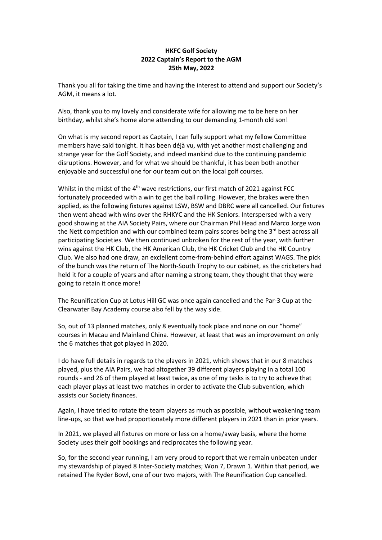## **HKFC Golf Society 2022 Captain's Report to the AGM 25th May, 2022**

Thank you all for taking the time and having the interest to attend and support our Society's AGM, it means a lot.

Also, thank you to my lovely and considerate wife for allowing me to be here on her birthday, whilst she's home alone attending to our demanding 1-month old son!

On what is my second report as Captain, I can fully support what my fellow Committee members have said tonight. It has been déjà vu, with yet another most challenging and strange year for the Golf Society, and indeed mankind due to the continuing pandemic disruptions. However, and for what we should be thankful, it has been both another enjoyable and successful one for our team out on the local golf courses.

Whilst in the midst of the 4<sup>th</sup> wave restrictions, our first match of 2021 against FCC fortunately proceeded with a win to get the ball rolling. However, the brakes were then applied, as the following fixtures against LSW, BSW and DBRC were all cancelled. Our fixtures then went ahead with wins over the RHKYC and the HK Seniors. Interspersed with a very good showing at the AIA Society Pairs, where our Chairman Phil Head and Marco Jorge won the Nett competition and with our combined team pairs scores being the 3<sup>rd</sup> best across all participating Societies. We then continued unbroken for the rest of the year, with further wins against the HK Club, the HK American Club, the HK Cricket Club and the HK Country Club. We also had one draw, an exclellent come-from-behind effort against WAGS. The pick of the bunch was the return of The North-South Trophy to our cabinet, as the cricketers had held it for a couple of years and after naming a strong team, they thought that they were going to retain it once more!

The Reunification Cup at Lotus Hill GC was once again cancelled and the Par-3 Cup at the Clearwater Bay Academy course also fell by the way side.

So, out of 13 planned matches, only 8 eventually took place and none on our "home" courses in Macau and Mainland China. However, at least that was an improvement on only the 6 matches that got played in 2020.

I do have full details in regards to the players in 2021, which shows that in our 8 matches played, plus the AIA Pairs, we had altogether 39 different players playing in a total 100 rounds - and 26 of them played at least twice, as one of my tasks is to try to achieve that each player plays at least two matches in order to activate the Club subvention, which assists our Society finances.

Again, I have tried to rotate the team players as much as possible, without weakening team line-ups, so that we had proportionately more different players in 2021 than in prior years.

In 2021, we played all fixtures on more or less on a home/away basis, where the home Society uses their golf bookings and reciprocates the following year.

So, for the second year running, I am very proud to report that we remain unbeaten under my stewardship of played 8 Inter-Society matches; Won 7, Drawn 1. Within that period, we retained The Ryder Bowl, one of our two majors, with The Reunification Cup cancelled.